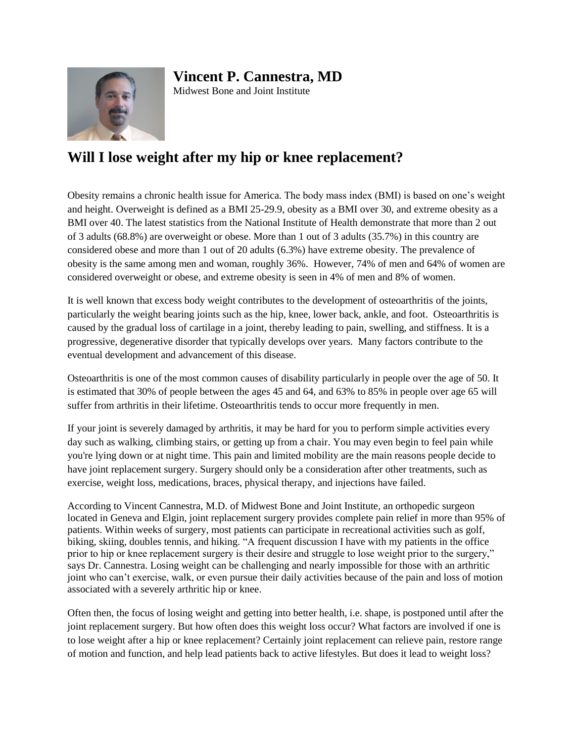## **Vincent P. Cannestra, MD**



Midwest Bone and Joint Institute

## **Will I lose weight after my hip or knee replacement?**

Obesity remains a chronic health issue for America. The body mass index (BMI) is based on one's weight and height. Overweight is defined as a BMI 25-29.9, obesity as a BMI over 30, and extreme obesity as a BMI over 40. The latest statistics from the National Institute of Health demonstrate that more than 2 out of 3 adults (68.8%) are overweight or obese. More than 1 out of 3 adults (35.7%) in this country are considered obese and more than 1 out of 20 adults (6.3%) have extreme obesity. The prevalence of obesity is the same among men and woman, roughly 36%. However, 74% of men and 64% of women are considered overweight or obese, and extreme obesity is seen in 4% of men and 8% of women.

It is well known that excess body weight contributes to the development of osteoarthritis of the joints, particularly the weight bearing joints such as the hip, knee, lower back, ankle, and foot. Osteoarthritis is caused by the gradual loss of cartilage in a joint, thereby leading to pain, swelling, and stiffness. It is a progressive, degenerative disorder that typically develops over years. Many factors contribute to the eventual development and advancement of this disease.

Osteoarthritis is one of the most common causes of disability particularly in people over the age of 50. It is estimated that 30% of people between the ages 45 and 64, and 63% to 85% in people over age 65 will suffer from arthritis in their lifetime. Osteoarthritis tends to occur more frequently in men.

If your joint is severely damaged by arthritis, it may be hard for you to perform simple activities every day such as walking, climbing stairs, or getting up from a chair. You may even begin to feel pain while you're lying down or at night time. This pain and limited mobility are the main reasons people decide to have joint replacement surgery. Surgery should only be a consideration after other treatments, such as exercise, weight loss, medications, braces, physical therapy, and injections have failed.

According to Vincent Cannestra, M.D. of Midwest Bone and Joint Institute, an orthopedic surgeon located in Geneva and Elgin, joint replacement surgery provides complete pain relief in more than 95% of patients. Within weeks of surgery, most patients can participate in recreational activities such as golf, biking, skiing, doubles tennis, and hiking. "A frequent discussion I have with my patients in the office prior to hip or knee replacement surgery is their desire and struggle to lose weight prior to the surgery," says Dr. Cannestra. Losing weight can be challenging and nearly impossible for those with an arthritic joint who can't exercise, walk, or even pursue their daily activities because of the pain and loss of motion associated with a severely arthritic hip or knee.

Often then, the focus of losing weight and getting into better health, i.e. shape, is postponed until after the joint replacement surgery. But how often does this weight loss occur? What factors are involved if one is to lose weight after a hip or knee replacement? Certainly joint replacement can relieve pain, restore range of motion and function, and help lead patients back to active lifestyles. But does it lead to weight loss?